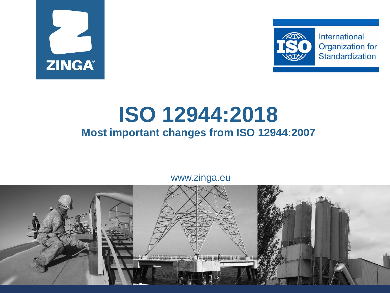



### **ISO 12944:2018 Most important changes from ISO 12944:2007**

www.zinga.eu

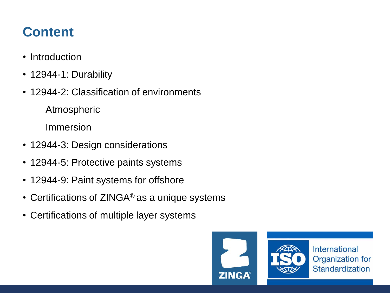#### **Content**

- Introduction
- 12944-1: Durability
- 12944-2: Classification of environments

Atmospheric

Immersion

- 12944-3: Design considerations
- 12944-5: Protective paints systems
- 12944-9: Paint systems for offshore
- Certifications of ZINGA<sup>®</sup> as a unique systems
- Certifications of multiple layer systems

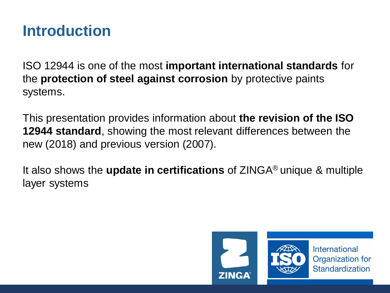#### **Introduction**

ISO 12944 is one of the most **important international standards** for the **protection of steel against corrosion** by protective paints systems.

This presentation provides information about **the revision of the ISO 12944 standard**, showing the most relevant differences between the new (2018) and previous version (2007).

It also shows the **update in certifications** of ZINGA® unique & multiple layer systems

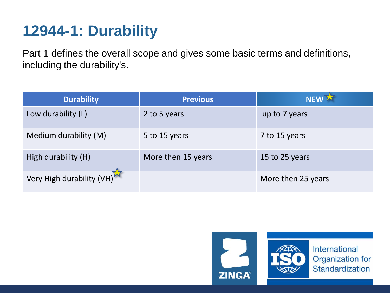# **12944-1: Durability**

Part 1 defines the overall scope and gives some basic terms and definitions, including the durability's.

| <b>Durability</b>         | <b>Previous</b>    | NEW X              |
|---------------------------|--------------------|--------------------|
| Low durability (L)        | 2 to 5 years       | up to 7 years      |
| Medium durability (M)     | 5 to 15 years      | 7 to 15 years      |
| High durability (H)       | More then 15 years | 15 to 25 years     |
| Very High durability (VH) |                    | More then 25 years |

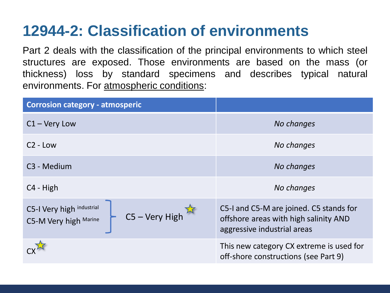# **12944-2: Classification of environments**

Part 2 deals with the classification of the principal environments to which steel structures are exposed. Those environments are based on the mass (or thickness) loss by standard specimens and describes typical natural environments. For atmospheric conditions:

| <b>Corrosion category - atmosperic</b>                                 |                                                                                                                 |  |
|------------------------------------------------------------------------|-----------------------------------------------------------------------------------------------------------------|--|
| $C1 - Very$ Low                                                        | No changes                                                                                                      |  |
| $C2$ - Low                                                             | No changes                                                                                                      |  |
| C <sub>3</sub> - Medium                                                | No changes                                                                                                      |  |
| C <sub>4</sub> - High                                                  | No changes                                                                                                      |  |
| C5-I Very high industrial<br>$C5 - Very High$<br>C5-M Very high Marine | C5-I and C5-M are joined. C5 stands for<br>offshore areas with high salinity AND<br>aggressive industrial areas |  |
|                                                                        | This new category CX extreme is used for<br>off-shore constructions (see Part 9)                                |  |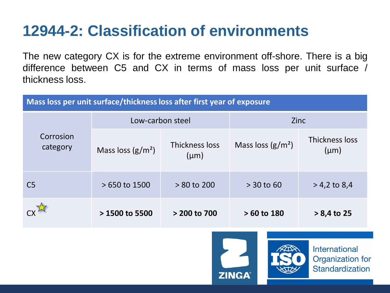# **12944-2: Classification of environments**

The new category CX is for the extreme environment off-shore. There is a big difference between C5 and CX in terms of mass loss per unit surface / thickness loss.

| Mass loss per unit surface/thickness loss after first year of exposure |                     |                             |                     |                             |  |
|------------------------------------------------------------------------|---------------------|-----------------------------|---------------------|-----------------------------|--|
|                                                                        | Low-carbon steel    |                             | <b>Zinc</b>         |                             |  |
| Corrosion<br>category                                                  | Mass loss $(g/m^2)$ | Thickness loss<br>$(\mu m)$ | Mass loss $(g/m^2)$ | Thickness loss<br>$(\mu m)$ |  |
| C <sub>5</sub>                                                         | $>650$ to 1500      | $> 80$ to 200               | $> 30$ to 60        | $> 4,2$ to 8,4              |  |
|                                                                        | $> 1500$ to 5500    | > 200 to 700                | $>60$ to 180        | $> 8,4$ to 25               |  |

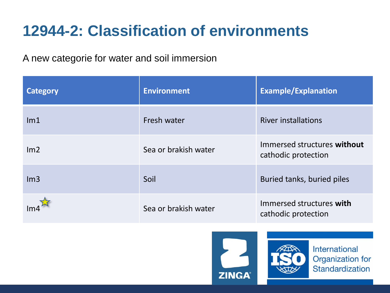# **12944-2: Classification of environments**

A new categorie for water and soil immersion

| <b>Category</b> | <b>Environment</b>   | <b>Example/Explanation</b>                         |  |
|-----------------|----------------------|----------------------------------------------------|--|
| Im <sub>1</sub> | Fresh water          | <b>River installations</b>                         |  |
| Im <sub>2</sub> | Sea or brakish water | Immersed structures without<br>cathodic protection |  |
| Im3             | Soil                 | Buried tanks, buried piles                         |  |
|                 | Sea or brakish water | Immersed structures with<br>cathodic protection    |  |





International Organization for Standardization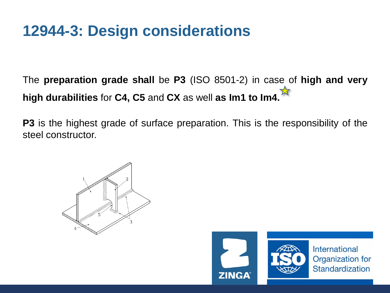### **12944-3: Design considerations**

The **preparation grade shall** be **P3** (ISO 8501-2) in case of **high and very high durabilities** for **C4, C5** and **CX** as well **as Im1 to Im4.**

**P3** is the highest grade of surface preparation. This is the responsibility of the steel constructor.





International Organization for Standardization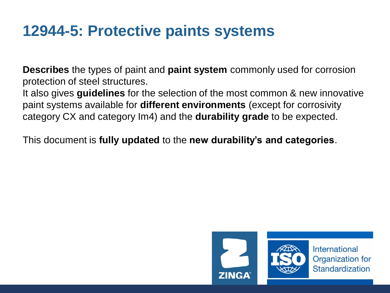#### **12944-5: Protective paints systems**

**Describes** the types of paint and **paint system** commonly used for corrosion protection of steel structures.

It also gives **guidelines** for the selection of the most common & new innovative paint systems available for **different environments** (except for corrosivity category CX and category Im4) and the **durability grade** to be expected.

This document is **fully updated** to the **new durability's and categories**.

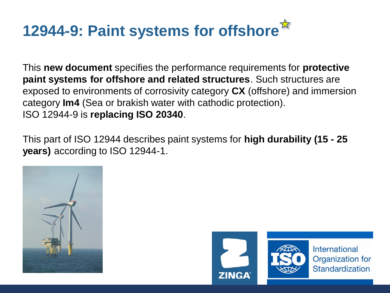# **12944-9: Paint systems for offshore**

This **new document** specifies the performance requirements for **protective paint systems for offshore and related structures**. Such structures are exposed to environments of corrosivity category **CX** (offshore) and immersion category **Im4** (Sea or brakish water with cathodic protection). ISO 12944-9 is **replacing ISO 20340**.

This part of ISO 12944 describes paint systems for **high durability (15 - 25 years)** according to ISO 12944-1.



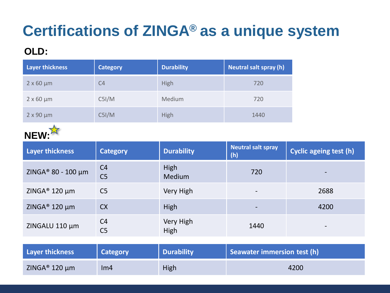# **Certifications of ZINGA® as a unique system**

#### **OLD:**

| <b>Layer thickness</b> | <b>Category</b> | <b>Durability</b> | Neutral salt spray (h) |
|------------------------|-----------------|-------------------|------------------------|
| $2 \times 60 \mu m$    | C <sub>4</sub>  | High              | 720                    |
| $2 \times 60 \mu m$    | C5I/M           | Medium            | 720                    |
| $2 \times 90 \mu m$    | C5I/M           | High              | 1440                   |



| <b>Layer thickness</b>         | <b>Category</b>                  | <b>Durability</b>     | <b>Neutral salt spray</b><br>(h) | <b>Cyclic ageing test (h)</b> |
|--------------------------------|----------------------------------|-----------------------|----------------------------------|-------------------------------|
| ZINGA <sup>®</sup> 80 - 100 μm | C <sub>4</sub><br>C <sub>5</sub> | High<br><b>Medium</b> | 720                              | -                             |
| ZINGA <sup>®</sup> 120 $\mu$ m | C <sub>5</sub>                   | Very High             | $\overline{\phantom{a}}$         | 2688                          |
| ZINGA <sup>®</sup> 120 $\mu$ m | <b>CX</b>                        | High                  | $\overline{\phantom{a}}$         | 4200                          |
| ZINGALU 110 µm                 | C <sub>4</sub><br>C <sub>5</sub> | Very High<br>High     | 1440                             | $\overline{\phantom{a}}$      |

| Layer thickness           | <b>Category</b> | <b>Durability</b> | Seawater immersion test (h) |
|---------------------------|-----------------|-------------------|-----------------------------|
| ZINGA <sup>®</sup> 120 µm | Im4             | High              | 4200                        |